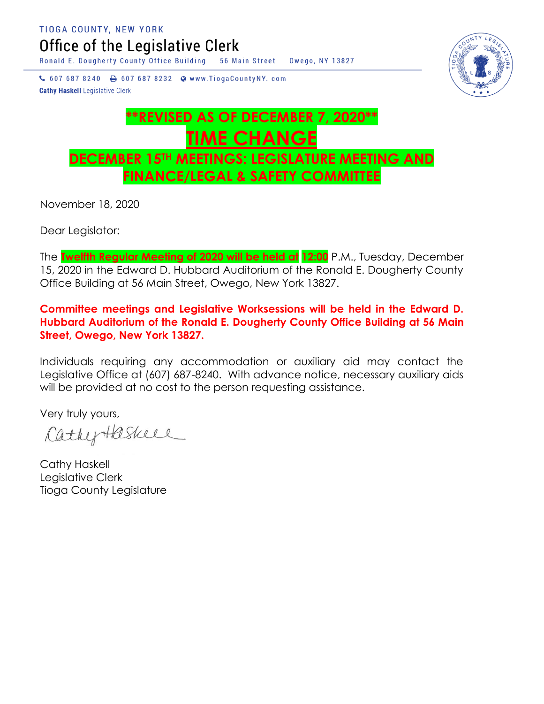TIOGA COUNTY, NEW YORK

Office of the Legislative Clerk

Ronald E. Dougherty County Office Building 56 Main Street Owego, NY 13827

↓ 607 687 8240 → 607 687 8232 → www.TiogaCountyNY.com **Cathy Haskell Legislative Clerk** 



## **\*\*REVISED AS OF DECEMBER 7, 2020\*\* TIME CHANGE DECEMBER 15TH MEETINGS: LEGISLATURE MEETING AND FINANCE/LEGAL & SAFETY COMMITTEE**

November 18, 2020

Dear Legislator:

The **Twelfth Regular Meeting of 2020 will be held at 12:00** P.M., Tuesday, December 15, 2020 in the Edward D. Hubbard Auditorium of the Ronald E. Dougherty County Office Building at 56 Main Street, Owego, New York 13827.

**Committee meetings and Legislative Worksessions will be held in the Edward D. Hubbard Auditorium of the Ronald E. Dougherty County Office Building at 56 Main Street, Owego, New York 13827.**

Individuals requiring any accommodation or auxiliary aid may contact the Legislative Office at (607) 687-8240. With advance notice, necessary auxiliary aids will be provided at no cost to the person requesting assistance.

Very truly yours,

CathyHaskell

Cathy Haskell Legislative Clerk Tioga County Legislature